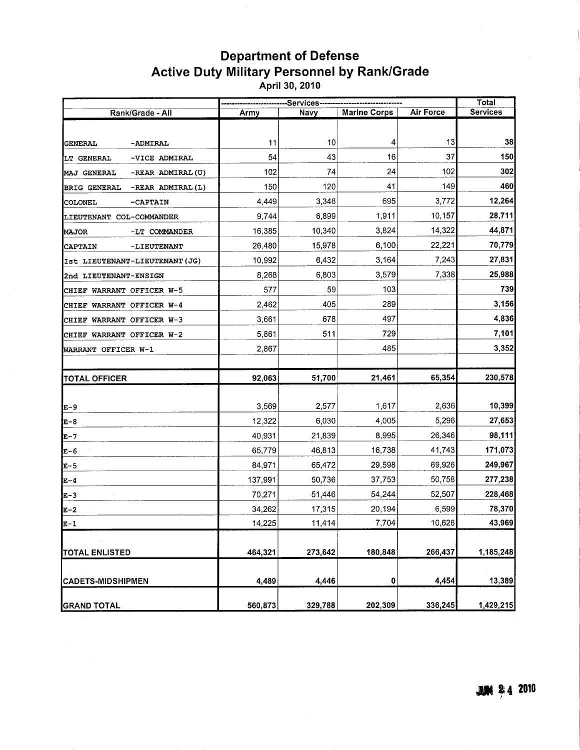## Department of Defense Active Duty Military Personnel by Rank/Grade April 30, 2010

|                                         | -Services------------------- |         |                     |                  | <b>Total</b> |
|-----------------------------------------|------------------------------|---------|---------------------|------------------|--------------|
| Rank/Grade - All                        | Army                         | Navy    | <b>Marine Corps</b> | <b>Air Force</b> | Services     |
|                                         |                              |         |                     |                  |              |
| <b>GENERAL</b><br>-ADMIRAL              | 11                           | 10      | 4                   | 13               | 38           |
| -VICE ADMIRAL<br>LT GENERAL             | 54                           | 43      | 16                  | 37               | 150          |
| -REAR ADMIRAL (U)<br><b>MAJ GENERAL</b> | 102                          | 74      | 24                  | 102              | 302          |
| -REAR ADMIRAL(L)<br><b>BRIG GENERAL</b> | 150                          | 120     | 41                  | 149              | 460          |
| -CAPTAIN<br>COLONEL                     | 4,449                        | 3,348   | 695                 | 3,772            | 12,264       |
| LIEUTENANT COL-COMMANDER                | 9,744                        | 6,899   | 1,911               | 10,157           | 28,711       |
| <b>MAJOR</b><br>-LT COMMANDER           | 16,385                       | 10,340  | 3,824               | 14,322           | 44,871       |
| -LIEUTENANT<br><b>CAPTAIN</b>           | 26,480                       | 15,978  | 6,100               | 22,221           | 70,779       |
| Ist LIEUTENANT-LIEUTENANT (JG)          | 10,992                       | 6,432   | 3,164               | 7,243            | 27,831       |
| 2nd LIEUTENANT-ENSIGN                   | 8,268                        | 6,803   | 3,579               | 7,338            | 25,988       |
| CHIEF WARRANT OFFICER W-5               | 577                          | 59      | 103                 |                  | 739          |
| CHIEF WARRANT OFFICER W-4               | 2,462                        | 405     | 289                 |                  | 3,156        |
| CHIEF WARRANT OFFICER W-3               | 3,661                        | 678     | 497                 |                  | 4,836        |
| CHIEF WARRANT OFFICER W-2               | 5,861                        | 511     | 729                 |                  | 7,101        |
| WARRANT OFFICER W-1                     | 2,867                        |         | 485                 |                  | 3,352        |
|                                         |                              |         |                     |                  |              |
| <b>TOTAL OFFICER</b>                    | 92,063                       | 51,700  | 21,461              | 65,354           | 230,578      |
|                                         |                              |         |                     |                  |              |
| [E-9                                    | 3,569                        | 2,577   | 1,617               | 2,636            | 10,399       |
| ]E-8                                    | 12,322                       | 6,030   | 4,005               | 5,296            | 27,653       |
| E-7                                     | 40,931                       | 21,839  | 8,995               | 26,346           | 98,111       |
| E-6                                     | 65,779                       | 46,813  | 16,738              | 41,743           | 171,073      |
| E-5                                     | 84,971                       | 65,472  | 29,598              | 69,926           | 249,967      |
| E-4                                     | 137,991                      | 50,736  | 37,753              | 50,758           | 277,238      |
| E-3                                     | 70,271                       | 51,446  | 54,244              | 52,507           | 228,468      |
| E-2                                     | 34,262                       | 17,315  | 20,194              | 6,599            | 78,370       |
| E-1                                     | 14,225                       | 11,414  | 7,704               | 10,626           | 43,969       |
|                                         |                              |         |                     |                  |              |
| TOTAL ENLISTED                          | 464,321                      | 273,642 | 180,848             | 266,437          | 1,185,248    |
|                                         |                              |         |                     |                  |              |
| <b>CADETS-MIDSHIPMEN</b>                | 4,489                        | 4,446   | 0                   | 4,454            | 13,389       |
| <b>GRAND TOTAL</b>                      | 560,873                      | 329,788 | 202,309             | 336,245          | 1,429,215    |